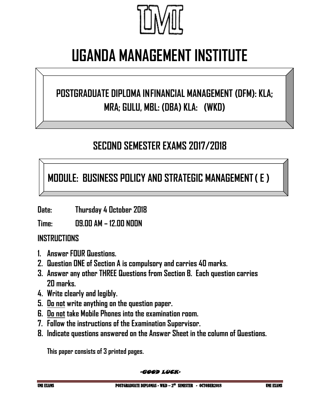

# **UGANDA MANAGEMENT INSTITUTE**

## **POSTGRADUATE DIPLOMA INFINANCIAL MANAGEMENT (DFM): KLA; MRA; GULU, MBL: (DBA) KLA: (WKD)**

### **SECOND SEMESTER EXAMS 2017/2018**

**MODULE: BUSINESS POLICY AND STRATEGIC MANAGEMENT( E )**

**Date: Thursday 4 October 2018**

**Time: 09.00 AM – 12.00 NOON**

#### **INSTRUCTIONS**

- **1. Answer FOUR Questions.**
- **2. Question ONE of Section A is compulsory and carries 40 marks.**
- **3. Answer any other THREE Questions from Section B. Each question carries 20 marks.**
- **4. Write clearly and legibly.**
- **5. Do not write anything on the question paper.**
- **6. Do not take Mobile Phones into the examination room.**
- **7. Follow the instructions of the Examination Supervisor.**
- **8. Indicate questions answered on the Answer Sheet in the column of Questions.**

**This paper consists of 3 printed pages.**

-GOOD LUCK-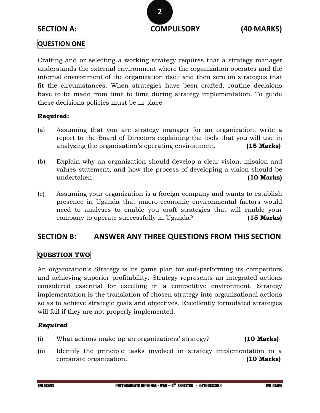#### **QUESTION ONE**

Crafting and or selecting a working strategy requires that a strategy manager understands the external environment where the organization operates and the internal environment of the organization itself and then zero on strategies that fit the circumstances. When strategies have been crafted, routine decisions have to be made from time to time during strategy implementation. To guide these decisions policies must be in place.

#### **Required:**

- (a) Assuming that you are strategy manager for an organization, write a report to the Board of Directors explaining the tools that you will use in analyzing the organisation's operating environment. **(15 Marks)**
- (b) Explain why an organization should develop a clear vision, mission and values statement, and how the process of developing a vision should be undertaken. **(10 Marks)**
- (c) Assuming your organization is a foreign company and wants to establish presence in Uganda that macro-economic environmental factors would need to analyses to enable you craft strategies that will enable your company to operate successfully in Uganda? **(15 Marks)**

#### **SECTION B: ANSWER ANY THREE QUESTIONS FROM THIS SECTION**

#### **QUESTION TWO**

An organization's Strategy is its game plan for out-performing its competitors and achieving superior profitability. Strategy represents an integrated actions considered essential for excelling in a competitive environment. Strategy implementation is the translation of chosen strategy into organizational actions so as to achieve strategic goals and objectives. Excellently formulated strategies will fail if they are not properly implemented.

#### *Required*

- (i) What actions make up an organizations' strategy? **(10 Marks)**
- (ii) Identify the principle tasks involved in strategy implementation in a corporate organization. **(10 Marks)**